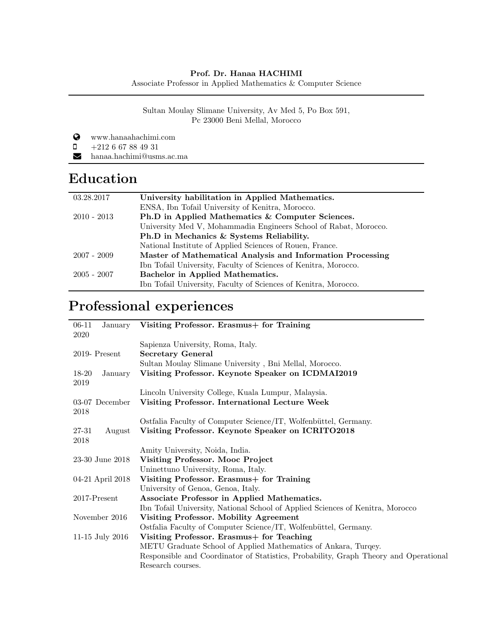#### Prof. Dr. Hanaa HACHIMI

Associate Professor in Applied Mathematics & Computer Science

Sultan Moulay Slimane University, Av Med 5, Po Box 591, Pc 23000 Beni Mellal, Morocco

www.hanaahachimi.com

 $\Box$  +212 6 67 88 49 31

R hanaa.hachimi@usms.ac.ma

# **Education**

| 03.28.2017    | University habilitation in Applied Mathematics.                  |
|---------------|------------------------------------------------------------------|
|               | ENSA, Ibn Tofail University of Kenitra, Morocco.                 |
| $2010 - 2013$ | Ph.D in Applied Mathematics & Computer Sciences.                 |
|               | University Med V, Mohammadia Engineers School of Rabat, Morocco. |
|               | Ph.D in Mechanics & Systems Reliability.                         |
|               | National Institute of Applied Sciences of Rouen, France.         |
| $2007 - 2009$ | Master of Mathematical Analysis and Information Processing       |
|               | Ibn Tofail University, Faculty of Sciences of Kenitra, Morocco.  |
| $2005 - 2007$ | Bachelor in Applied Mathematics.                                 |
|               | Ibn Tofail University, Faculty of Sciences of Kenitra, Morocco.  |

# Professional experiences

| $06-11$<br>2020 |                  | January Visiting Professor. Erasmus + for Training                                   |
|-----------------|------------------|--------------------------------------------------------------------------------------|
|                 |                  | Sapienza University, Roma, Italy.                                                    |
|                 | $2019$ - Present | <b>Secretary General</b>                                                             |
|                 |                  | Sultan Moulay Slimane University, Bni Mellal, Morocco.                               |
| 18-20<br>2019   | January          | Visiting Professor. Keynote Speaker on ICDMAI2019                                    |
|                 |                  | Lincoln University College, Kuala Lumpur, Malaysia.                                  |
| 2018            | 03-07 December   | Visiting Professor. International Lecture Week                                       |
|                 |                  | Ostfalia Faculty of Computer Science/IT, Wolfenbüttel, Germany.                      |
| 27-31<br>2018   | August           | Visiting Professor. Keynote Speaker on ICRITO2018                                    |
|                 |                  | Amity University, Noida, India.                                                      |
|                 | 23-30 June 2018  | Visiting Professor. Mooc Project                                                     |
|                 |                  | Uninettuno University, Roma, Italy.                                                  |
|                 | 04-21 April 2018 | Visiting Professor. Erasmus+ for Training                                            |
|                 |                  | University of Genoa, Genoa, Italy.                                                   |
| $2017$ -Present |                  | Associate Professor in Applied Mathematics.                                          |
|                 |                  | Ibn Tofail University, National School of Applied Sciences of Kenitra, Morocco       |
|                 | November 2016    | <b>Visiting Professor. Mobility Agreement</b>                                        |
|                 |                  | Ostfalia Faculty of Computer Science/IT, Wolfenbüttel, Germany.                      |
|                 | 11-15 July 2016  | Visiting Professor. Erasmus + for Teaching                                           |
|                 |                  | METU Graduate School of Applied Mathematics of Ankara, Turqey.                       |
|                 |                  | Responsible and Coordinator of Statistics, Probability, Graph Theory and Operational |
|                 |                  | Research courses.                                                                    |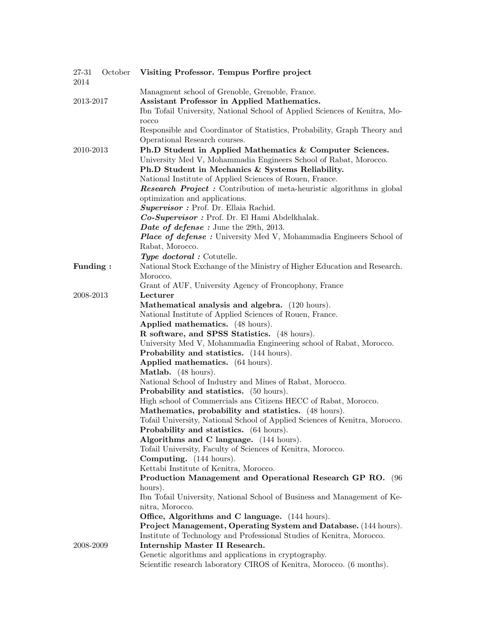| Managment school of Grenoble, Grenoble, France.<br>Assistant Professor in Applied Mathematics.<br>2013-2017<br>Ibn Tofail University, National School of Applied Sciences of Kenitra, Mo-<br>rocco<br>Responsible and Coordinator of Statistics, Probability, Graph Theory and<br>Operational Research courses.<br>Ph.D Student in Applied Mathematics & Computer Sciences.<br>2010-2013<br>University Med V, Mohammadia Engineers School of Rabat, Morocco.<br>Ph.D Student in Mechanics & Systems Reliability.<br>National Institute of Applied Sciences of Rouen, France.<br><b>Research Project</b> : Contribution of meta-heuristic algorithms in global<br>optimization and applications.<br>Supervisor : Prof. Dr. Ellaia Rachid.<br>Co-Supervisor: Prof. Dr. El Hami Abdelkhalak.<br>Date of defense: June the 29th, 2013.<br><b>Place of defense:</b> University Med V, Mohammadia Engineers School of<br>Rabat, Morocco.<br>Type doctoral : Cotutelle.<br>National Stock Exchange of the Ministry of Higher Education and Research.<br>Funding:<br>Morocco.<br>Grant of AUF, University Agency of Froncophony, France<br>2008-2013<br>Lecturer<br>Mathematical analysis and algebra. (120 hours).<br>National Institute of Applied Sciences of Rouen, France.<br>Applied mathematics. (48 hours).<br>R software, and SPSS Statistics. (48 hours).<br>University Med V, Mohammadia Engineering school of Rabat, Morocco.<br><b>Probability and statistics.</b> (144 hours).<br>Applied mathematics. (64 hours).<br><b>Matlab.</b> (48 hours).<br>National School of Industry and Mines of Rabat, Morocco.<br><b>Probability and statistics.</b> (50 hours).<br>High school of Commercials ans Citizens HECC of Rabat, Morocco.<br>Mathematics, probability and statistics. (48 hours).<br>Tofail University, National School of Applied Sciences of Kenitra, Morocco.<br>Probability and statistics. (64 hours).<br>Algorithms and C language. (144 hours). | 27-31<br>2014 | October | Visiting Professor. Tempus Porfire project                  |
|----------------------------------------------------------------------------------------------------------------------------------------------------------------------------------------------------------------------------------------------------------------------------------------------------------------------------------------------------------------------------------------------------------------------------------------------------------------------------------------------------------------------------------------------------------------------------------------------------------------------------------------------------------------------------------------------------------------------------------------------------------------------------------------------------------------------------------------------------------------------------------------------------------------------------------------------------------------------------------------------------------------------------------------------------------------------------------------------------------------------------------------------------------------------------------------------------------------------------------------------------------------------------------------------------------------------------------------------------------------------------------------------------------------------------------------------------------------------------------------------------------------------------------------------------------------------------------------------------------------------------------------------------------------------------------------------------------------------------------------------------------------------------------------------------------------------------------------------------------------------------------------------------------------------------------------------------------------------|---------------|---------|-------------------------------------------------------------|
|                                                                                                                                                                                                                                                                                                                                                                                                                                                                                                                                                                                                                                                                                                                                                                                                                                                                                                                                                                                                                                                                                                                                                                                                                                                                                                                                                                                                                                                                                                                                                                                                                                                                                                                                                                                                                                                                                                                                                                      |               |         |                                                             |
|                                                                                                                                                                                                                                                                                                                                                                                                                                                                                                                                                                                                                                                                                                                                                                                                                                                                                                                                                                                                                                                                                                                                                                                                                                                                                                                                                                                                                                                                                                                                                                                                                                                                                                                                                                                                                                                                                                                                                                      |               |         |                                                             |
|                                                                                                                                                                                                                                                                                                                                                                                                                                                                                                                                                                                                                                                                                                                                                                                                                                                                                                                                                                                                                                                                                                                                                                                                                                                                                                                                                                                                                                                                                                                                                                                                                                                                                                                                                                                                                                                                                                                                                                      |               |         |                                                             |
|                                                                                                                                                                                                                                                                                                                                                                                                                                                                                                                                                                                                                                                                                                                                                                                                                                                                                                                                                                                                                                                                                                                                                                                                                                                                                                                                                                                                                                                                                                                                                                                                                                                                                                                                                                                                                                                                                                                                                                      |               |         |                                                             |
|                                                                                                                                                                                                                                                                                                                                                                                                                                                                                                                                                                                                                                                                                                                                                                                                                                                                                                                                                                                                                                                                                                                                                                                                                                                                                                                                                                                                                                                                                                                                                                                                                                                                                                                                                                                                                                                                                                                                                                      |               |         |                                                             |
|                                                                                                                                                                                                                                                                                                                                                                                                                                                                                                                                                                                                                                                                                                                                                                                                                                                                                                                                                                                                                                                                                                                                                                                                                                                                                                                                                                                                                                                                                                                                                                                                                                                                                                                                                                                                                                                                                                                                                                      |               |         |                                                             |
|                                                                                                                                                                                                                                                                                                                                                                                                                                                                                                                                                                                                                                                                                                                                                                                                                                                                                                                                                                                                                                                                                                                                                                                                                                                                                                                                                                                                                                                                                                                                                                                                                                                                                                                                                                                                                                                                                                                                                                      |               |         |                                                             |
|                                                                                                                                                                                                                                                                                                                                                                                                                                                                                                                                                                                                                                                                                                                                                                                                                                                                                                                                                                                                                                                                                                                                                                                                                                                                                                                                                                                                                                                                                                                                                                                                                                                                                                                                                                                                                                                                                                                                                                      |               |         |                                                             |
|                                                                                                                                                                                                                                                                                                                                                                                                                                                                                                                                                                                                                                                                                                                                                                                                                                                                                                                                                                                                                                                                                                                                                                                                                                                                                                                                                                                                                                                                                                                                                                                                                                                                                                                                                                                                                                                                                                                                                                      |               |         |                                                             |
|                                                                                                                                                                                                                                                                                                                                                                                                                                                                                                                                                                                                                                                                                                                                                                                                                                                                                                                                                                                                                                                                                                                                                                                                                                                                                                                                                                                                                                                                                                                                                                                                                                                                                                                                                                                                                                                                                                                                                                      |               |         |                                                             |
|                                                                                                                                                                                                                                                                                                                                                                                                                                                                                                                                                                                                                                                                                                                                                                                                                                                                                                                                                                                                                                                                                                                                                                                                                                                                                                                                                                                                                                                                                                                                                                                                                                                                                                                                                                                                                                                                                                                                                                      |               |         |                                                             |
|                                                                                                                                                                                                                                                                                                                                                                                                                                                                                                                                                                                                                                                                                                                                                                                                                                                                                                                                                                                                                                                                                                                                                                                                                                                                                                                                                                                                                                                                                                                                                                                                                                                                                                                                                                                                                                                                                                                                                                      |               |         |                                                             |
|                                                                                                                                                                                                                                                                                                                                                                                                                                                                                                                                                                                                                                                                                                                                                                                                                                                                                                                                                                                                                                                                                                                                                                                                                                                                                                                                                                                                                                                                                                                                                                                                                                                                                                                                                                                                                                                                                                                                                                      |               |         |                                                             |
|                                                                                                                                                                                                                                                                                                                                                                                                                                                                                                                                                                                                                                                                                                                                                                                                                                                                                                                                                                                                                                                                                                                                                                                                                                                                                                                                                                                                                                                                                                                                                                                                                                                                                                                                                                                                                                                                                                                                                                      |               |         |                                                             |
|                                                                                                                                                                                                                                                                                                                                                                                                                                                                                                                                                                                                                                                                                                                                                                                                                                                                                                                                                                                                                                                                                                                                                                                                                                                                                                                                                                                                                                                                                                                                                                                                                                                                                                                                                                                                                                                                                                                                                                      |               |         |                                                             |
|                                                                                                                                                                                                                                                                                                                                                                                                                                                                                                                                                                                                                                                                                                                                                                                                                                                                                                                                                                                                                                                                                                                                                                                                                                                                                                                                                                                                                                                                                                                                                                                                                                                                                                                                                                                                                                                                                                                                                                      |               |         |                                                             |
|                                                                                                                                                                                                                                                                                                                                                                                                                                                                                                                                                                                                                                                                                                                                                                                                                                                                                                                                                                                                                                                                                                                                                                                                                                                                                                                                                                                                                                                                                                                                                                                                                                                                                                                                                                                                                                                                                                                                                                      |               |         |                                                             |
|                                                                                                                                                                                                                                                                                                                                                                                                                                                                                                                                                                                                                                                                                                                                                                                                                                                                                                                                                                                                                                                                                                                                                                                                                                                                                                                                                                                                                                                                                                                                                                                                                                                                                                                                                                                                                                                                                                                                                                      |               |         |                                                             |
|                                                                                                                                                                                                                                                                                                                                                                                                                                                                                                                                                                                                                                                                                                                                                                                                                                                                                                                                                                                                                                                                                                                                                                                                                                                                                                                                                                                                                                                                                                                                                                                                                                                                                                                                                                                                                                                                                                                                                                      |               |         |                                                             |
|                                                                                                                                                                                                                                                                                                                                                                                                                                                                                                                                                                                                                                                                                                                                                                                                                                                                                                                                                                                                                                                                                                                                                                                                                                                                                                                                                                                                                                                                                                                                                                                                                                                                                                                                                                                                                                                                                                                                                                      |               |         |                                                             |
|                                                                                                                                                                                                                                                                                                                                                                                                                                                                                                                                                                                                                                                                                                                                                                                                                                                                                                                                                                                                                                                                                                                                                                                                                                                                                                                                                                                                                                                                                                                                                                                                                                                                                                                                                                                                                                                                                                                                                                      |               |         |                                                             |
|                                                                                                                                                                                                                                                                                                                                                                                                                                                                                                                                                                                                                                                                                                                                                                                                                                                                                                                                                                                                                                                                                                                                                                                                                                                                                                                                                                                                                                                                                                                                                                                                                                                                                                                                                                                                                                                                                                                                                                      |               |         |                                                             |
|                                                                                                                                                                                                                                                                                                                                                                                                                                                                                                                                                                                                                                                                                                                                                                                                                                                                                                                                                                                                                                                                                                                                                                                                                                                                                                                                                                                                                                                                                                                                                                                                                                                                                                                                                                                                                                                                                                                                                                      |               |         |                                                             |
|                                                                                                                                                                                                                                                                                                                                                                                                                                                                                                                                                                                                                                                                                                                                                                                                                                                                                                                                                                                                                                                                                                                                                                                                                                                                                                                                                                                                                                                                                                                                                                                                                                                                                                                                                                                                                                                                                                                                                                      |               |         |                                                             |
|                                                                                                                                                                                                                                                                                                                                                                                                                                                                                                                                                                                                                                                                                                                                                                                                                                                                                                                                                                                                                                                                                                                                                                                                                                                                                                                                                                                                                                                                                                                                                                                                                                                                                                                                                                                                                                                                                                                                                                      |               |         |                                                             |
|                                                                                                                                                                                                                                                                                                                                                                                                                                                                                                                                                                                                                                                                                                                                                                                                                                                                                                                                                                                                                                                                                                                                                                                                                                                                                                                                                                                                                                                                                                                                                                                                                                                                                                                                                                                                                                                                                                                                                                      |               |         |                                                             |
|                                                                                                                                                                                                                                                                                                                                                                                                                                                                                                                                                                                                                                                                                                                                                                                                                                                                                                                                                                                                                                                                                                                                                                                                                                                                                                                                                                                                                                                                                                                                                                                                                                                                                                                                                                                                                                                                                                                                                                      |               |         |                                                             |
|                                                                                                                                                                                                                                                                                                                                                                                                                                                                                                                                                                                                                                                                                                                                                                                                                                                                                                                                                                                                                                                                                                                                                                                                                                                                                                                                                                                                                                                                                                                                                                                                                                                                                                                                                                                                                                                                                                                                                                      |               |         |                                                             |
|                                                                                                                                                                                                                                                                                                                                                                                                                                                                                                                                                                                                                                                                                                                                                                                                                                                                                                                                                                                                                                                                                                                                                                                                                                                                                                                                                                                                                                                                                                                                                                                                                                                                                                                                                                                                                                                                                                                                                                      |               |         |                                                             |
|                                                                                                                                                                                                                                                                                                                                                                                                                                                                                                                                                                                                                                                                                                                                                                                                                                                                                                                                                                                                                                                                                                                                                                                                                                                                                                                                                                                                                                                                                                                                                                                                                                                                                                                                                                                                                                                                                                                                                                      |               |         |                                                             |
|                                                                                                                                                                                                                                                                                                                                                                                                                                                                                                                                                                                                                                                                                                                                                                                                                                                                                                                                                                                                                                                                                                                                                                                                                                                                                                                                                                                                                                                                                                                                                                                                                                                                                                                                                                                                                                                                                                                                                                      |               |         |                                                             |
|                                                                                                                                                                                                                                                                                                                                                                                                                                                                                                                                                                                                                                                                                                                                                                                                                                                                                                                                                                                                                                                                                                                                                                                                                                                                                                                                                                                                                                                                                                                                                                                                                                                                                                                                                                                                                                                                                                                                                                      |               |         |                                                             |
|                                                                                                                                                                                                                                                                                                                                                                                                                                                                                                                                                                                                                                                                                                                                                                                                                                                                                                                                                                                                                                                                                                                                                                                                                                                                                                                                                                                                                                                                                                                                                                                                                                                                                                                                                                                                                                                                                                                                                                      |               |         |                                                             |
|                                                                                                                                                                                                                                                                                                                                                                                                                                                                                                                                                                                                                                                                                                                                                                                                                                                                                                                                                                                                                                                                                                                                                                                                                                                                                                                                                                                                                                                                                                                                                                                                                                                                                                                                                                                                                                                                                                                                                                      |               |         |                                                             |
|                                                                                                                                                                                                                                                                                                                                                                                                                                                                                                                                                                                                                                                                                                                                                                                                                                                                                                                                                                                                                                                                                                                                                                                                                                                                                                                                                                                                                                                                                                                                                                                                                                                                                                                                                                                                                                                                                                                                                                      |               |         |                                                             |
|                                                                                                                                                                                                                                                                                                                                                                                                                                                                                                                                                                                                                                                                                                                                                                                                                                                                                                                                                                                                                                                                                                                                                                                                                                                                                                                                                                                                                                                                                                                                                                                                                                                                                                                                                                                                                                                                                                                                                                      |               |         |                                                             |
|                                                                                                                                                                                                                                                                                                                                                                                                                                                                                                                                                                                                                                                                                                                                                                                                                                                                                                                                                                                                                                                                                                                                                                                                                                                                                                                                                                                                                                                                                                                                                                                                                                                                                                                                                                                                                                                                                                                                                                      |               |         |                                                             |
|                                                                                                                                                                                                                                                                                                                                                                                                                                                                                                                                                                                                                                                                                                                                                                                                                                                                                                                                                                                                                                                                                                                                                                                                                                                                                                                                                                                                                                                                                                                                                                                                                                                                                                                                                                                                                                                                                                                                                                      |               |         | Tofail University, Faculty of Sciences of Kenitra, Morocco. |
| Computing. (144 hours).                                                                                                                                                                                                                                                                                                                                                                                                                                                                                                                                                                                                                                                                                                                                                                                                                                                                                                                                                                                                                                                                                                                                                                                                                                                                                                                                                                                                                                                                                                                                                                                                                                                                                                                                                                                                                                                                                                                                              |               |         |                                                             |
| Kettabi Institute of Kenitra, Morocco.                                                                                                                                                                                                                                                                                                                                                                                                                                                                                                                                                                                                                                                                                                                                                                                                                                                                                                                                                                                                                                                                                                                                                                                                                                                                                                                                                                                                                                                                                                                                                                                                                                                                                                                                                                                                                                                                                                                               |               |         |                                                             |
| Production Management and Operational Research GP RO. (96                                                                                                                                                                                                                                                                                                                                                                                                                                                                                                                                                                                                                                                                                                                                                                                                                                                                                                                                                                                                                                                                                                                                                                                                                                                                                                                                                                                                                                                                                                                                                                                                                                                                                                                                                                                                                                                                                                            |               |         |                                                             |
| hours).                                                                                                                                                                                                                                                                                                                                                                                                                                                                                                                                                                                                                                                                                                                                                                                                                                                                                                                                                                                                                                                                                                                                                                                                                                                                                                                                                                                                                                                                                                                                                                                                                                                                                                                                                                                                                                                                                                                                                              |               |         |                                                             |
| Ibn Tofail University, National School of Business and Management of Ke-                                                                                                                                                                                                                                                                                                                                                                                                                                                                                                                                                                                                                                                                                                                                                                                                                                                                                                                                                                                                                                                                                                                                                                                                                                                                                                                                                                                                                                                                                                                                                                                                                                                                                                                                                                                                                                                                                             |               |         |                                                             |
| nitra, Morocco.                                                                                                                                                                                                                                                                                                                                                                                                                                                                                                                                                                                                                                                                                                                                                                                                                                                                                                                                                                                                                                                                                                                                                                                                                                                                                                                                                                                                                                                                                                                                                                                                                                                                                                                                                                                                                                                                                                                                                      |               |         |                                                             |
| Office, Algorithms and C language. (144 hours).                                                                                                                                                                                                                                                                                                                                                                                                                                                                                                                                                                                                                                                                                                                                                                                                                                                                                                                                                                                                                                                                                                                                                                                                                                                                                                                                                                                                                                                                                                                                                                                                                                                                                                                                                                                                                                                                                                                      |               |         |                                                             |
| Project Management, Operating System and Database. (144 hours).                                                                                                                                                                                                                                                                                                                                                                                                                                                                                                                                                                                                                                                                                                                                                                                                                                                                                                                                                                                                                                                                                                                                                                                                                                                                                                                                                                                                                                                                                                                                                                                                                                                                                                                                                                                                                                                                                                      |               |         |                                                             |
| Institute of Technology and Professional Studies of Kenitra, Morocco.                                                                                                                                                                                                                                                                                                                                                                                                                                                                                                                                                                                                                                                                                                                                                                                                                                                                                                                                                                                                                                                                                                                                                                                                                                                                                                                                                                                                                                                                                                                                                                                                                                                                                                                                                                                                                                                                                                |               |         |                                                             |
| Internship Master II Research.<br>2008-2009                                                                                                                                                                                                                                                                                                                                                                                                                                                                                                                                                                                                                                                                                                                                                                                                                                                                                                                                                                                                                                                                                                                                                                                                                                                                                                                                                                                                                                                                                                                                                                                                                                                                                                                                                                                                                                                                                                                          |               |         |                                                             |
| Genetic algorithms and applications in cryptography.                                                                                                                                                                                                                                                                                                                                                                                                                                                                                                                                                                                                                                                                                                                                                                                                                                                                                                                                                                                                                                                                                                                                                                                                                                                                                                                                                                                                                                                                                                                                                                                                                                                                                                                                                                                                                                                                                                                 |               |         |                                                             |
| Scientific research laboratory CIROS of Kenitra, Morocco. (6 months).                                                                                                                                                                                                                                                                                                                                                                                                                                                                                                                                                                                                                                                                                                                                                                                                                                                                                                                                                                                                                                                                                                                                                                                                                                                                                                                                                                                                                                                                                                                                                                                                                                                                                                                                                                                                                                                                                                |               |         |                                                             |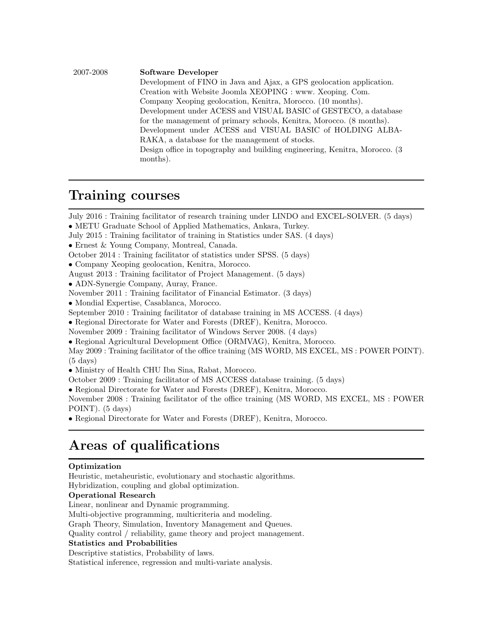#### 2007-2008 Software Developer

Development of FINO in Java and Ajax, a GPS geolocation application. Creation with Website Joomla XEOPING : www. Xeoping. Com. Company Xeoping geolocation, Kenitra, Morocco. (10 months). Development under ACESS and VISUAL BASIC of GESTECO, a database for the management of primary schools, Kenitra, Morocco. (8 months). Development under ACESS and VISUAL BASIC of HOLDING ALBA-RAKA, a database for the management of stocks. Design office in topography and building engineering, Kenitra, Morocco. (3 months).

### Training courses

July 2016 : Training facilitator of research training under LINDO and EXCEL-SOLVER. (5 days)

- METU Graduate School of Applied Mathematics, Ankara, Turkey.
- July 2015 : Training facilitator of training in Statistics under SAS. (4 days)
- Ernest & Young Company, Montreal, Canada.
- October 2014 : Training facilitator of statistics under SPSS. (5 days)
- Company Xeoping geolocation, Kenitra, Morocco.
- August 2013 : Training facilitator of Project Management. (5 days)
- ADN-Synergie Company, Auray, France.
- November 2011 : Training facilitator of Financial Estimator. (3 days)
- Mondial Expertise, Casablanca, Morocco.
- September 2010 : Training facilitator of database training in MS ACCESS. (4 days)
- Regional Directorate for Water and Forests (DREF), Kenitra, Morocco.
- November 2009 : Training facilitator of Windows Server 2008. (4 days)
- Regional Agricultural Development Office (ORMVAG), Kenitra, Morocco.

May 2009 : Training facilitator of the office training (MS WORD, MS EXCEL, MS : POWER POINT).  $(5 \text{ days})$ 

• Ministry of Health CHU Ibn Sina, Rabat, Morocco.

October 2009 : Training facilitator of MS ACCESS database training. (5 days)

• Regional Directorate for Water and Forests (DREF), Kenitra, Morocco.

November 2008 : Training facilitator of the office training (MS WORD, MS EXCEL, MS : POWER POINT). (5 days)

• Regional Directorate for Water and Forests (DREF), Kenitra, Morocco.

## Areas of qualifications

#### Optimization

Heuristic, metaheuristic, evolutionary and stochastic algorithms. Hybridization, coupling and global optimization. Operational Research Linear, nonlinear and Dynamic programming. Multi-objective programming, multicriteria and modeling. Graph Theory, Simulation, Inventory Management and Queues. Quality control / reliability, game theory and project management. Statistics and Probabilities Descriptive statistics, Probability of laws. Statistical inference, regression and multi-variate analysis.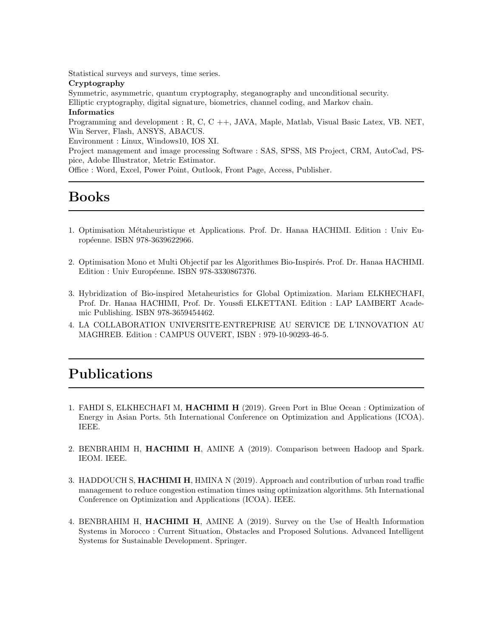Statistical surveys and surveys, time series.

#### Cryptography

Symmetric, asymmetric, quantum cryptography, steganography and unconditional security. Elliptic cryptography, digital signature, biometrics, channel coding, and Markov chain. Informatics

Programming and development : R, C, C ++, JAVA, Maple, Matlab, Visual Basic Latex, VB. NET, Win Server, Flash, ANSYS, ABACUS.

Environment : Linux, Windows10, IOS XI.

Project management and image processing Software : SAS, SPSS, MS Project, CRM, AutoCad, PSpice, Adobe Illustrator, Metric Estimator.

Office : Word, Excel, Power Point, Outlook, Front Page, Access, Publisher.

# Books

- 1. Optimisation M´etaheuristique et Applications. Prof. Dr. Hanaa HACHIMI. Edition : Univ Européenne. ISBN 978-3639622966.
- 2. Optimisation Mono et Multi Objectif par les Algorithmes Bio-Inspirés. Prof. Dr. Hanaa HACHIMI. Edition : Univ Européenne. ISBN 978-3330867376.
- 3. Hybridization of Bio-inspired Metaheuristics for Global Optimization. Mariam ELKHECHAFI, Prof. Dr. Hanaa HACHIMI, Prof. Dr. Youssfi ELKETTANI. Edition : LAP LAMBERT Academic Publishing. ISBN 978-3659454462.
- 4. LA COLLABORATION UNIVERSITE-ENTREPRISE AU SERVICE DE L'INNOVATION AU MAGHREB. Edition : CAMPUS OUVERT, ISBN : 979-10-90293-46-5.

## Publications

- 1. FAHDI S, ELKHECHAFI M, HACHIMI H (2019). Green Port in Blue Ocean : Optimization of Energy in Asian Ports. 5th International Conference on Optimization and Applications (ICOA). IEEE.
- 2. BENBRAHIM H, HACHIMI H, AMINE A (2019). Comparison between Hadoop and Spark. IEOM. IEEE.
- 3. HADDOUCH S, HACHIMI H, HMINA N (2019). Approach and contribution of urban road traffic management to reduce congestion estimation times using optimization algorithms. 5th International Conference on Optimization and Applications (ICOA). IEEE.
- 4. BENBRAHIM H, HACHIMI H, AMINE A (2019). Survey on the Use of Health Information Systems in Morocco : Current Situation, Obstacles and Proposed Solutions. Advanced Intelligent Systems for Sustainable Development. Springer.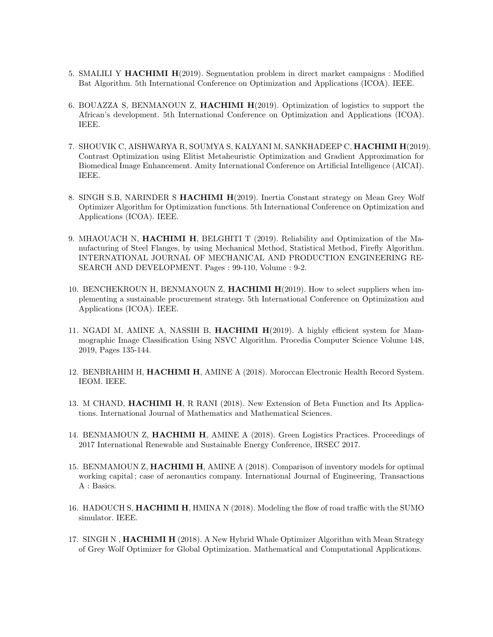- 5. SMALILI Y HACHIMI H(2019). Segmentation problem in direct market campaigns : Modified Bat Algorithm. 5th International Conference on Optimization and Applications (ICOA). IEEE.
- 6. BOUAZZA S, BENMANOUN Z, HACHIMI H(2019). Optimization of logistics to support the African's development. 5th International Conference on Optimization and Applications (ICOA). IEEE.
- 7. SHOUVIK C, AISHWARYA R, SOUMYA S, KALYANI M, SANKHADEEP C, HACHIMI H(2019). Contrast Optimization using Elitist Metaheuristic Optimization and Gradient Approximation for Biomedical Image Enhancement. Amity International Conference on Artificial Intelligence (AICAI). IEEE.
- 8. SINGH S.B, NARINDER S HACHIMI H(2019). Inertia Constant strategy on Mean Grey Wolf Optimizer Algorithm for Optimization functions. 5th International Conference on Optimization and Applications (ICOA). IEEE.
- 9. MHAOUACH N, HACHIMI H, BELGHITI T (2019). Reliability and Optimization of the Manufacturing of Steel Flanges, by using Mechanical Method, Statistical Method, Firefly Algorithm. INTERNATIONAL JOURNAL OF MECHANICAL AND PRODUCTION ENGINEERING RE-SEARCH AND DEVELOPMENT. Pages : 99-110, Volume : 9-2.
- 10. BENCHEKROUN H, BENMANOUN Z, HACHIMI H(2019). How to select suppliers when implementing a sustainable procurement strategy. 5th International Conference on Optimization and Applications (ICOA). IEEE.
- 11. NGADI M, AMINE A, NASSIH B, HACHIMI H(2019). A highly efficient system for Mammographic Image Classification Using NSVC Algorithm. Procedia Computer Science Volume 148, 2019, Pages 135-144.
- 12. BENBRAHIM H, HACHIMI H, AMINE A (2018). Moroccan Electronic Health Record System. IEOM. IEEE.
- 13. M CHAND, HACHIMI H, R RANI (2018). New Extension of Beta Function and Its Applications. International Journal of Mathematics and Mathematical Sciences.
- 14. BENMAMOUN Z, HACHIMI H, AMINE A (2018). Green Logistics Practices. Proceedings of 2017 International Renewable and Sustainable Energy Conference, IRSEC 2017.
- 15. BENMAMOUN Z, HACHIMI H, AMINE A (2018). Comparison of inventory models for optimal working capital ; case of aeronautics company. International Journal of Engineering, Transactions A : Basics.
- 16. HADOUCH S, HACHIMI H, HMINA N (2018). Modeling the flow of road traffic with the SUMO simulator. IEEE.
- 17. SINGH N, HACHIMI H (2018). A New Hybrid Whale Optimizer Algorithm with Mean Strategy of Grey Wolf Optimizer for Global Optimization. Mathematical and Computational Applications.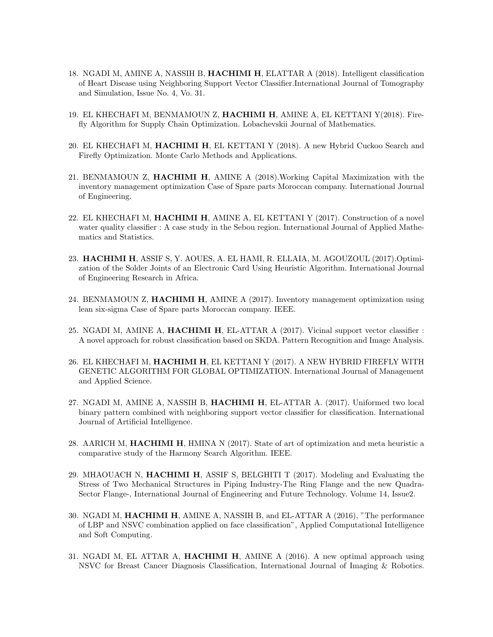- 18. NGADI M, AMINE A, NASSIH B, HACHIMI H, ELATTAR A (2018). Intelligent classification of Heart Disease using Neighboring Support Vector Classifier.International Journal of Tomography and Simulation, Issue No. 4, Vo. 31.
- 19. EL KHECHAFI M, BENMAMOUN Z, HACHIMI H, AMINE A, EL KETTANI Y(2018). Firefly Algorithm for Supply Chain Optimization. Lobachevskii Journal of Mathematics.
- 20. EL KHECHAFI M, HACHIMI H, EL KETTANI Y (2018). A new Hybrid Cuckoo Search and Firefly Optimization. Monte Carlo Methods and Applications.
- 21. BENMAMOUN Z, HACHIMI H, AMINE A (2018).Working Capital Maximization with the inventory management optimization Case of Spare parts Moroccan company. International Journal of Engineering.
- 22. EL KHECHAFI M, HACHIMI H, AMINE A, EL KETTANI Y (2017). Construction of a novel water quality classifier : A case study in the Sebou region. International Journal of Applied Mathematics and Statistics.
- 23. HACHIMI H, ASSIF S, Y. AOUES, A. EL HAMI, R. ELLAIA, M. AGOUZOUL (2017).Optimization of the Solder Joints of an Electronic Card Using Heuristic Algorithm. International Journal of Engineering Research in Africa.
- 24. BENMAMOUN Z, HACHIMI H, AMINE A (2017). Inventory management optimization using lean six-sigma Case of Spare parts Moroccan company. IEEE.
- 25. NGADI M, AMINE A, HACHIMI H, EL-ATTAR A (2017). Vicinal support vector classifier : A novel approach for robust classification based on SKDA. Pattern Recognition and Image Analysis.
- 26. EL KHECHAFI M, HACHIMI H, EL KETTANI Y (2017). A NEW HYBRID FIREFLY WITH GENETIC ALGORITHM FOR GLOBAL OPTIMIZATION. International Journal of Management and Applied Science.
- 27. NGADI M, AMINE A, NASSIH B, HACHIMI H, EL-ATTAR A. (2017). Uniformed two local binary pattern combined with neighboring support vector classifier for classification. International Journal of Artificial Intelligence.
- 28. AARICH M, HACHIMI H, HMINA N (2017). State of art of optimization and meta heuristic a comparative study of the Harmony Search Algorithm. IEEE.
- 29. MHAOUACH N, HACHIMI H, ASSIF S, BELGHITI T (2017). Modeling and Evaluating the Stress of Two Mechanical Structures in Piping Industry-The Ring Flange and the new Quadra-Sector Flange-, International Journal of Engineering and Future Technology. Volume 14, Issue2.
- 30. NGADI M, HACHIMI H, AMINE A, NASSIH B, and EL-ATTAR A (2016), "The performance of LBP and NSVC combination applied on face classification", Applied Computational Intelligence and Soft Computing.
- 31. NGADI M, EL ATTAR A, HACHIMI H, AMINE A (2016). A new optimal approach using NSVC for Breast Cancer Diagnosis Classification, International Journal of Imaging & Robotics.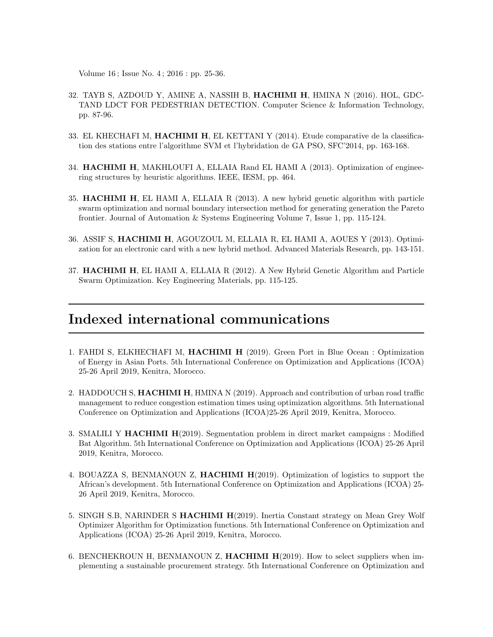Volume 16 ; Issue No. 4 ; 2016 : pp. 25-36.

- 32. TAYB S, AZDOUD Y, AMINE A, NASSIH B, HACHIMI H, HMINA N (2016). HOL, GDC-TAND LDCT FOR PEDESTRIAN DETECTION. Computer Science & Information Technology, pp. 87-96.
- 33. EL KHECHAFI M, HACHIMI H, EL KETTANI Y (2014). Etude comparative de la classification des stations entre l'algorithme SVM et l'hybridation de GA PSO, SFC'2014, pp. 163-168.
- 34. HACHIMI H, MAKHLOUFI A, ELLAIA Rand EL HAMI A (2013). Optimization of engineering structures by heuristic algorithms. IEEE, IESM, pp. 464.
- 35. HACHIMI H, EL HAMI A, ELLAIA R (2013). A new hybrid genetic algorithm with particle swarm optimization and normal boundary intersection method for generating generation the Pareto frontier. Journal of Automation & Systems Engineering Volume 7, Issue 1, pp. 115-124.
- 36. ASSIF S, HACHIMI H, AGOUZOUL M, ELLAIA R, EL HAMI A, AOUES Y (2013). Optimization for an electronic card with a new hybrid method. Advanced Materials Research, pp. 143-151.
- 37. HACHIMI H, EL HAMI A, ELLAIA R (2012). A New Hybrid Genetic Algorithm and Particle Swarm Optimization. Key Engineering Materials, pp. 115-125.

### Indexed international communications

- 1. FAHDI S, ELKHECHAFI M, HACHIMI H (2019). Green Port in Blue Ocean : Optimization of Energy in Asian Ports. 5th International Conference on Optimization and Applications (ICOA) 25-26 April 2019, Kenitra, Morocco.
- 2. HADDOUCH S, HACHIMI H, HMINA N (2019). Approach and contribution of urban road traffic management to reduce congestion estimation times using optimization algorithms. 5th International Conference on Optimization and Applications (ICOA)25-26 April 2019, Kenitra, Morocco.
- 3. SMALILI Y HACHIMI H(2019). Segmentation problem in direct market campaigns : Modified Bat Algorithm. 5th International Conference on Optimization and Applications (ICOA) 25-26 April 2019, Kenitra, Morocco.
- 4. BOUAZZA S, BENMANOUN Z, HACHIMI H(2019). Optimization of logistics to support the African's development. 5th International Conference on Optimization and Applications (ICOA) 25- 26 April 2019, Kenitra, Morocco.
- 5. SINGH S.B, NARINDER S HACHIMI H(2019). Inertia Constant strategy on Mean Grey Wolf Optimizer Algorithm for Optimization functions. 5th International Conference on Optimization and Applications (ICOA) 25-26 April 2019, Kenitra, Morocco.
- 6. BENCHEKROUN H, BENMANOUN Z, HACHIMI H(2019). How to select suppliers when implementing a sustainable procurement strategy. 5th International Conference on Optimization and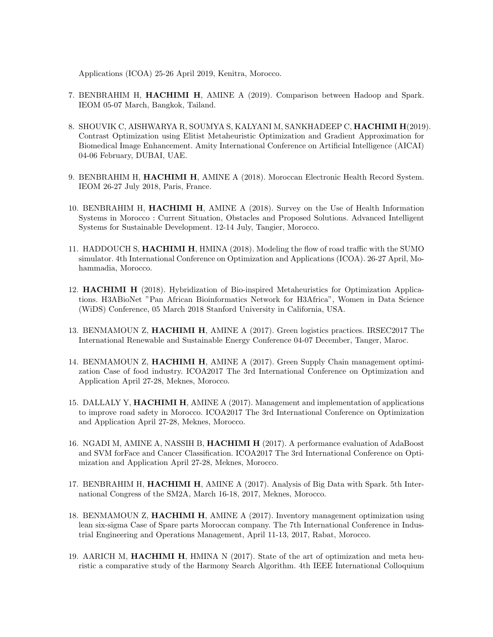Applications (ICOA) 25-26 April 2019, Kenitra, Morocco.

- 7. BENBRAHIM H, HACHIMI H, AMINE A (2019). Comparison between Hadoop and Spark. IEOM 05-07 March, Bangkok, Tailand.
- 8. SHOUVIK C, AISHWARYA R, SOUMYA S, KALYANI M, SANKHADEEP C, HACHIMI H(2019). Contrast Optimization using Elitist Metaheuristic Optimization and Gradient Approximation for Biomedical Image Enhancement. Amity International Conference on Artificial Intelligence (AICAI) 04-06 February, DUBAI, UAE.
- 9. BENBRAHIM H, HACHIMI H, AMINE A (2018). Moroccan Electronic Health Record System. IEOM 26-27 July 2018, Paris, France.
- 10. BENBRAHIM H, HACHIMI H, AMINE A (2018). Survey on the Use of Health Information Systems in Morocco : Current Situation, Obstacles and Proposed Solutions. Advanced Intelligent Systems for Sustainable Development. 12-14 July, Tangier, Morocco.
- 11. HADDOUCH S, HACHIMI H, HMINA (2018). Modeling the flow of road traffic with the SUMO simulator. 4th International Conference on Optimization and Applications (ICOA). 26-27 April, Mohammadia, Morocco.
- 12. HACHIMI H (2018). Hybridization of Bio-inspired Metaheuristics for Optimization Applications. H3ABioNet "Pan African Bioinformatics Network for H3Africa", Women in Data Science (WiDS) Conference, 05 March 2018 Stanford University in California, USA.
- 13. BENMAMOUN Z, HACHIMI H, AMINE A (2017). Green logistics practices. IRSEC2017 The International Renewable and Sustainable Energy Conference 04-07 December, Tanger, Maroc.
- 14. BENMAMOUN Z, HACHIMI H, AMINE A (2017). Green Supply Chain management optimization Case of food industry. ICOA2017 The 3rd International Conference on Optimization and Application April 27-28, Meknes, Morocco.
- 15. DALLALY Y, **HACHIMI H**, AMINE A (2017). Management and implementation of applications to improve road safety in Morocco. ICOA2017 The 3rd International Conference on Optimization and Application April 27-28, Meknes, Morocco.
- 16. NGADI M, AMINE A, NASSIH B, HACHIMI H (2017). A performance evaluation of AdaBoost and SVM forFace and Cancer Classification. ICOA2017 The 3rd International Conference on Optimization and Application April 27-28, Meknes, Morocco.
- 17. BENBRAHIM H, HACHIMI H, AMINE A (2017). Analysis of Big Data with Spark. 5th International Congress of the SM2A, March 16-18, 2017, Meknes, Morocco.
- 18. BENMAMOUN Z, HACHIMI H, AMINE A (2017). Inventory management optimization using lean six-sigma Case of Spare parts Moroccan company. The 7th International Conference in Industrial Engineering and Operations Management, April 11-13, 2017, Rabat, Morocco.
- 19. AARICH M, HACHIMI H, HMINA N (2017). State of the art of optimization and meta heuristic a comparative study of the Harmony Search Algorithm. 4th IEEE International Colloquium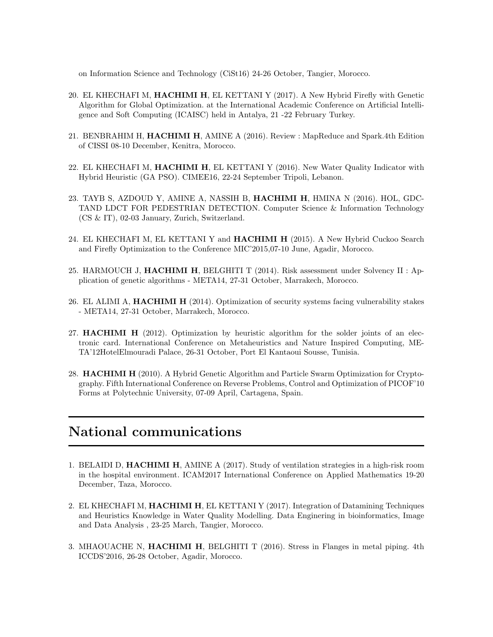on Information Science and Technology (CiSt16) 24-26 October, Tangier, Morocco.

- 20. EL KHECHAFI M, HACHIMI H, EL KETTANI Y (2017). A New Hybrid Firefly with Genetic Algorithm for Global Optimization. at the International Academic Conference on Artificial Intelligence and Soft Computing (ICAISC) held in Antalya, 21 -22 February Turkey.
- 21. BENBRAHIM H, HACHIMI H, AMINE A (2016). Review : MapReduce and Spark.4th Edition of CISSI 08-10 December, Kenitra, Morocco.
- 22. EL KHECHAFI M, HACHIMI H, EL KETTANI Y (2016). New Water Quality Indicator with Hybrid Heuristic (GA PSO). CIMEE16, 22-24 September Tripoli, Lebanon.
- 23. TAYB S, AZDOUD Y, AMINE A, NASSIH B, HACHIMI H, HMINA N (2016). HOL, GDC-TAND LDCT FOR PEDESTRIAN DETECTION. Computer Science & Information Technology (CS & IT), 02-03 January, Zurich, Switzerland.
- 24. EL KHECHAFI M, EL KETTANI Y and HACHIMI H (2015). A New Hybrid Cuckoo Search and Firefly Optimization to the Conference MIC'2015,07-10 June, Agadir, Morocco.
- 25. HARMOUCH J, HACHIMI H, BELGHITI T (2014). Risk assessment under Solvency II : Application of genetic algorithms - META14, 27-31 October, Marrakech, Morocco.
- 26. EL ALIMI A, **HACHIMI H** (2014). Optimization of security systems facing vulnerability stakes - META14, 27-31 October, Marrakech, Morocco.
- 27. HACHIMI H (2012). Optimization by heuristic algorithm for the solder joints of an electronic card. International Conference on Metaheuristics and Nature Inspired Computing, ME-TA'12HotelElmouradi Palace, 26-31 October, Port El Kantaoui Sousse, Tunisia.
- 28. **HACHIMI H** (2010). A Hybrid Genetic Algorithm and Particle Swarm Optimization for Cryptography. Fifth International Conference on Reverse Problems, Control and Optimization of PICOF'10 Forms at Polytechnic University, 07-09 April, Cartagena, Spain.

## National communications

- 1. BELAIDI D, HACHIMI H, AMINE A (2017). Study of ventilation strategies in a high-risk room in the hospital environment. ICAM2017 International Conference on Applied Mathematics 19-20 December, Taza, Morocco.
- 2. EL KHECHAFI M, HACHIMI H, EL KETTANI Y (2017). Integration of Datamining Techniques and Heuristics Knowledge in Water Quality Modelling. Data Enginering in bioinformatics, Image and Data Analysis , 23-25 March, Tangier, Morocco.
- 3. MHAOUACHE N, HACHIMI H, BELGHITI T (2016). Stress in Flanges in metal piping. 4th ICCDS'2016, 26-28 October, Agadir, Morocco.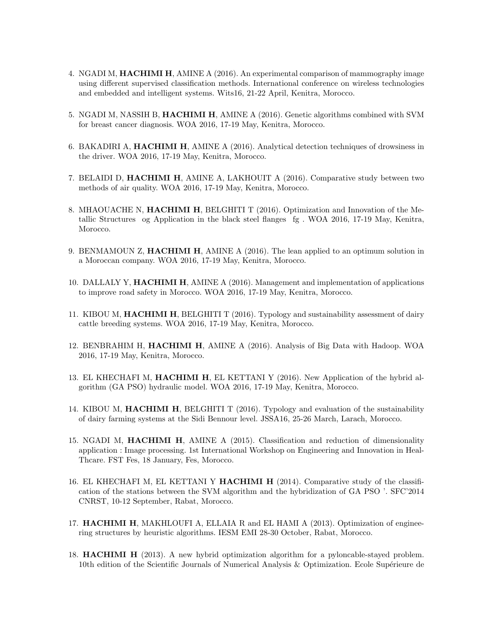- 4. NGADI M, HACHIMI H, AMINE A (2016). An experimental comparison of mammography image using different supervised classification methods. International conference on wireless technologies and embedded and intelligent systems. Wits16, 21-22 April, Kenitra, Morocco.
- 5. NGADI M, NASSIH B, HACHIMI H, AMINE A (2016). Genetic algorithms combined with SVM for breast cancer diagnosis. WOA 2016, 17-19 May, Kenitra, Morocco.
- 6. BAKADIRI A, HACHIMI H, AMINE A (2016). Analytical detection techniques of drowsiness in the driver. WOA 2016, 17-19 May, Kenitra, Morocco.
- 7. BELAIDI D, HACHIMI H, AMINE A, LAKHOUIT A (2016). Comparative study between two methods of air quality. WOA 2016, 17-19 May, Kenitra, Morocco.
- 8. MHAOUACHE N, HACHIMI H, BELGHITI T (2016). Optimization and Innovation of the Metallic Structures og Application in the black steel flanges fg . WOA 2016, 17-19 May, Kenitra, Morocco.
- 9. BENMAMOUN Z, HACHIMI H, AMINE A (2016). The lean applied to an optimum solution in a Moroccan company. WOA 2016, 17-19 May, Kenitra, Morocco.
- 10. DALLALY Y, **HACHIMI H**, AMINE A (2016). Management and implementation of applications to improve road safety in Morocco. WOA 2016, 17-19 May, Kenitra, Morocco.
- 11. KIBOU M, HACHIMI H, BELGHITI T (2016). Typology and sustainability assessment of dairy cattle breeding systems. WOA 2016, 17-19 May, Kenitra, Morocco.
- 12. BENBRAHIM H, HACHIMI H, AMINE A (2016). Analysis of Big Data with Hadoop. WOA 2016, 17-19 May, Kenitra, Morocco.
- 13. EL KHECHAFI M, HACHIMI H, EL KETTANI Y (2016). New Application of the hybrid algorithm (GA PSO) hydraulic model. WOA 2016, 17-19 May, Kenitra, Morocco.
- 14. KIBOU M, HACHIMI H, BELGHITI T (2016). Typology and evaluation of the sustainability of dairy farming systems at the Sidi Bennour level. JSSA16, 25-26 March, Larach, Morocco.
- 15. NGADI M, HACHIMI H, AMINE A (2015). Classification and reduction of dimensionality application : Image processing. 1st International Workshop on Engineering and Innovation in Heal-Thcare. FST Fes, 18 January, Fes, Morocco.
- 16. EL KHECHAFI M, EL KETTANI Y HACHIMI H (2014). Comparative study of the classification of the stations between the SVM algorithm and the hybridization of GA PSO '. SFC'2014 CNRST, 10-12 September, Rabat, Morocco.
- 17. HACHIMI H, MAKHLOUFI A, ELLAIA R and EL HAMI A (2013). Optimization of engineering structures by heuristic algorithms. IESM EMI 28-30 October, Rabat, Morocco.
- 18. HACHIMI H (2013). A new hybrid optimization algorithm for a pyloncable-stayed problem. 10th edition of the Scientific Journals of Numerical Analysis & Optimization. Ecole Supérieure de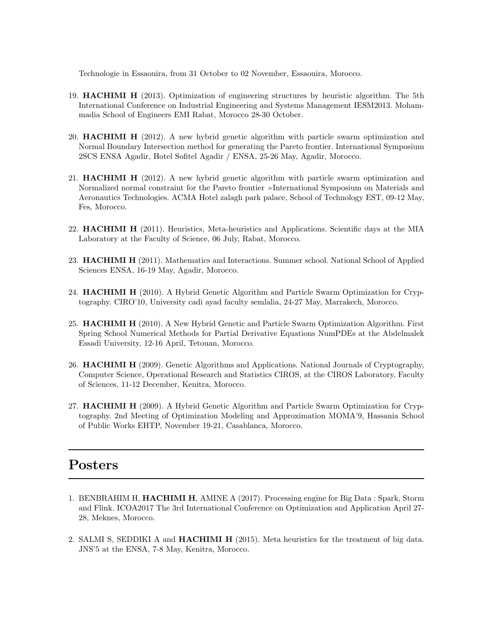Technologie in Essaouira, from 31 October to 02 November, Essaouira, Morocco.

- 19. HACHIMI H (2013). Optimization of engineering structures by heuristic algorithm. The 5th International Conference on Industrial Engineering and Systems Management IESM2013. Mohammadia School of Engineers EMI Rabat, Morocco 28-30 October.
- 20. HACHIMI H (2012). A new hybrid genetic algorithm with particle swarm optimization and Normal Boundary Intersection method for generating the Pareto frontier. International Symposium 2SCS ENSA Agadir, Hotel Sofitel Agadir / ENSA, 25-26 May, Agadir, Morocco.
- 21. HACHIMI H (2012). A new hybrid genetic algorithm with particle swarm optimization and Normalized normal constraint for the Pareto frontier »International Symposium on Materials and Aeronautics Technologies. ACMA Hotel zalagh park palace, School of Technology EST, 09-12 May, Fes, Morocco.
- 22. HACHIMI H (2011). Heuristics, Meta-heuristics and Applications. Scientific days at the MIA Laboratory at the Faculty of Science, 06 July, Rabat, Morocco.
- 23. **HACHIMI H** (2011). Mathematics and Interactions. Summer school. National School of Applied Sciences ENSA, 16-19 May, Agadir, Morocco.
- 24. HACHIMI H (2010). A Hybrid Genetic Algorithm and Particle Swarm Optimization for Cryptography. CIRO'10, University cadi ayad faculty semlalia, 24-27 May, Marrakech, Morocco.
- 25. HACHIMI H (2010). A New Hybrid Genetic and Particle Swarm Optimization Algorithm. First Spring School Numerical Methods for Partial Derivative Equations NumPDEs at the Abdelmalek Essadi University, 12-16 April, Tetouan, Morocco.
- 26. HACHIMI H (2009). Genetic Algorithms and Applications. National Journals of Cryptography, Computer Science, Operational Research and Statistics CIROS, at the CIROS Laboratory, Faculty of Sciences, 11-12 December, Kenitra, Morocco.
- 27. HACHIMI H (2009). A Hybrid Genetic Algorithm and Particle Swarm Optimization for Cryptography. 2nd Meeting of Optimization Modeling and Approximation MOMA'9, Hassania School of Public Works EHTP, November 19-21, Casablanca, Morocco.

# Posters

- 1. BENBRAHIM H, HACHIMI H, AMINE A (2017). Processing engine for Big Data : Spark, Storm and Flink. ICOA2017 The 3rd International Conference on Optimization and Application April 27- 28, Meknes, Morocco.
- 2. SALMI S, SEDDIKI A and HACHIMI H (2015). Meta heuristics for the treatment of big data. JNS'5 at the ENSA, 7-8 May, Kenitra, Morocco.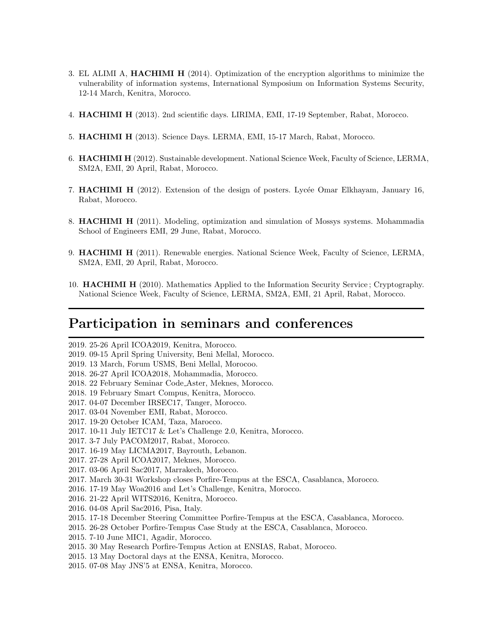- 3. EL ALIMI A, HACHIMI H (2014). Optimization of the encryption algorithms to minimize the vulnerability of information systems, International Symposium on Information Systems Security, 12-14 March, Kenitra, Morocco.
- 4. HACHIMI H (2013). 2nd scientific days. LIRIMA, EMI, 17-19 September, Rabat, Morocco.
- 5. HACHIMI H (2013). Science Days. LERMA, EMI, 15-17 March, Rabat, Morocco.
- 6. HACHIMI H (2012). Sustainable development. National Science Week, Faculty of Science, LERMA, SM2A, EMI, 20 April, Rabat, Morocco.
- 7. **HACHIMI H** (2012). Extension of the design of posters. Lycée Omar Elkhayam, January 16, Rabat, Morocco.
- 8. HACHIMI H (2011). Modeling, optimization and simulation of Mossys systems. Mohammadia School of Engineers EMI, 29 June, Rabat, Morocco.
- 9. HACHIMI H (2011). Renewable energies. National Science Week, Faculty of Science, LERMA, SM2A, EMI, 20 April, Rabat, Morocco.
- 10. HACHIMI H (2010). Mathematics Applied to the Information Security Service ; Cryptography. National Science Week, Faculty of Science, LERMA, SM2A, EMI, 21 April, Rabat, Morocco.

### Participation in seminars and conferences

2019. 25-26 April ICOA2019, Kenitra, Morocco.

- 2019. 09-15 April Spring University, Beni Mellal, Morocco.
- 2019. 13 March, Forum USMS, Beni Mellal, Morocoo.

2018. 26-27 April ICOA2018, Mohammadia, Morocco.

- 2018. 22 February Seminar Code Aster, Meknes, Morocco.
- 2018. 19 February Smart Compus, Kenitra, Morocco.
- 2017. 04-07 December IRSEC17, Tanger, Morocco.
- 2017. 03-04 November EMI, Rabat, Morocco.
- 2017. 19-20 October ICAM, Taza, Marocco.
- 2017. 10-11 July IETC17 & Let's Challenge 2.0, Kenitra, Morocco.
- 2017. 3-7 July PACOM2017, Rabat, Morocco.
- 2017. 16-19 May LICMA2017, Bayrouth, Lebanon.
- 2017. 27-28 April ICOA2017, Meknes, Morocco.
- 2017. 03-06 April Sac2017, Marrakech, Morocco.
- 2017. March 30-31 Workshop closes Porfire-Tempus at the ESCA, Casablanca, Morocco.
- 2016. 17-19 May Woa2016 and Let's Challenge, Kenitra, Morocco.
- 2016. 21-22 April WITS2016, Kenitra, Morocco.
- 2016. 04-08 April Sac2016, Pisa, Italy.
- 2015. 17-18 December Steering Committee Porfire-Tempus at the ESCA, Casablanca, Morocco.
- 2015. 26-28 October Porfire-Tempus Case Study at the ESCA, Casablanca, Morocco.
- 2015. 7-10 June MIC1, Agadir, Morocco.
- 2015. 30 May Research Porfire-Tempus Action at ENSIAS, Rabat, Morocco.
- 2015. 13 May Doctoral days at the ENSA, Kenitra, Morocco.
- 2015. 07-08 May JNS'5 at ENSA, Kenitra, Morocco.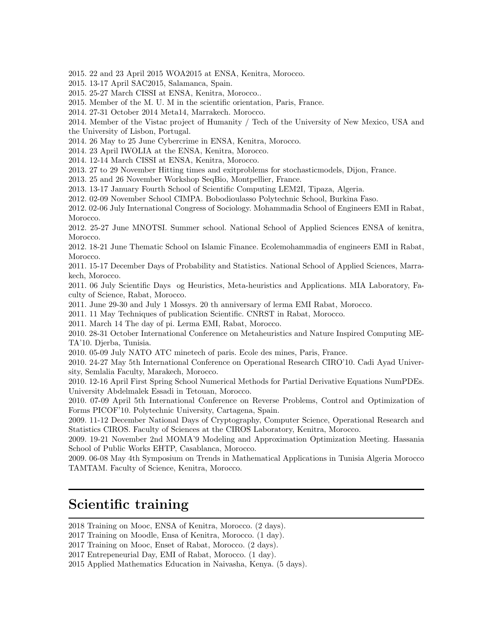2015. 22 and 23 April 2015 WOA2015 at ENSA, Kenitra, Morocco.

2015. 13-17 April SAC2015, Salamanca, Spain.

2015. 25-27 March CISSI at ENSA, Kenitra, Morocco..

2015. Member of the M. U. M in the scientific orientation, Paris, France.

2014. 27-31 October 2014 Meta14, Marrakech. Morocco.

2014. Member of the Vistac project of Humanity / Tech of the University of New Mexico, USA and the University of Lisbon, Portugal.

2014. 26 May to 25 June Cybercrime in ENSA, Kenitra, Morocco.

2014. 23 April IWOLIA at the ENSA, Kenitra, Morocco.

2014. 12-14 March CISSI at ENSA, Kenitra, Morocco.

2013. 27 to 29 November Hitting times and exitproblems for stochasticmodels, Dijon, France.

2013. 25 and 26 November Workshop SeqBio, Montpellier, France.

2013. 13-17 January Fourth School of Scientific Computing LEM2I, Tipaza, Algeria.

2012. 02-09 November School CIMPA. Bobodioulasso Polytechnic School, Burkina Faso.

2012. 02-06 July International Congress of Sociology. Mohammadia School of Engineers EMI in Rabat, Morocco.

2012. 25-27 June MNOTSI. Summer school. National School of Applied Sciences ENSA of kenitra, Morocco.

2012. 18-21 June Thematic School on Islamic Finance. Ecolemohammadia of engineers EMI in Rabat, Morocco.

2011. 15-17 December Days of Probability and Statistics. National School of Applied Sciences, Marrakech, Morocco.

2011. 06 July Scientific Days og Heuristics, Meta-heuristics and Applications. MIA Laboratory, Faculty of Science, Rabat, Morocco.

2011. June 29-30 and July 1 Mossys. 20 th anniversary of lerma EMI Rabat, Morocco.

2011. 11 May Techniques of publication Scientific. CNRST in Rabat, Morocco.

2011. March 14 The day of pi. Lerma EMI, Rabat, Morocco.

2010. 28-31 October International Conference on Metaheuristics and Nature Inspired Computing ME-TA'10. Djerba, Tunisia.

2010. 05-09 July NATO ATC minetech of paris. Ecole des mines, Paris, France.

2010. 24-27 May 5th International Conference on Operational Research CIRO'10. Cadi Ayad University, Semlalia Faculty, Marakech, Morocco.

2010. 12-16 April First Spring School Numerical Methods for Partial Derivative Equations NumPDEs. University Abdelmalek Essadi in Tetouan, Morocco.

2010. 07-09 April 5th International Conference on Reverse Problems, Control and Optimization of Forms PICOF'10. Polytechnic University, Cartagena, Spain.

2009. 11-12 December National Days of Cryptography, Computer Science, Operational Research and Statistics CIROS. Faculty of Sciences at the CIROS Laboratory, Kenitra, Morocco.

2009. 19-21 November 2nd MOMA'9 Modeling and Approximation Optimization Meeting. Hassania School of Public Works EHTP, Casablanca, Morocco.

2009. 06-08 May 4th Symposium on Trends in Mathematical Applications in Tunisia Algeria Morocco TAMTAM. Faculty of Science, Kenitra, Morocco.

### Scientific training

2018 Training on Mooc, ENSA of Kenitra, Morocco. (2 days).

<sup>2017</sup> Training on Moodle, Ensa of Kenitra, Morocco. (1 day).

<sup>2017</sup> Training on Mooc, Enset of Rabat, Morocco. (2 days).

<sup>2017</sup> Entrepeneurial Day, EMI of Rabat, Morocco. (1 day).

<sup>2015</sup> Applied Mathematics Education in Naivasha, Kenya. (5 days).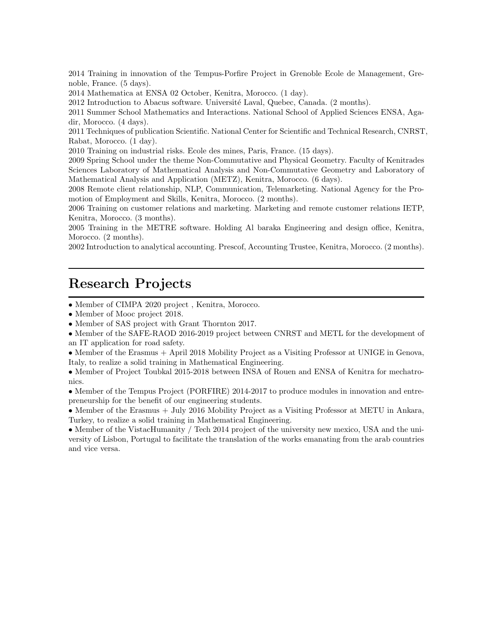2014 Training in innovation of the Tempus-Porfire Project in Grenoble Ecole de Management, Grenoble, France. (5 days).

2014 Mathematica at ENSA 02 October, Kenitra, Morocco. (1 day).

2012 Introduction to Abacus software. Université Laval, Quebec, Canada. (2 months).

2011 Summer School Mathematics and Interactions. National School of Applied Sciences ENSA, Agadir, Morocco. (4 days).

2011 Techniques of publication Scientific. National Center for Scientific and Technical Research, CNRST, Rabat, Morocco. (1 day).

2010 Training on industrial risks. Ecole des mines, Paris, France. (15 days).

2009 Spring School under the theme Non-Commutative and Physical Geometry. Faculty of Kenitrades Sciences Laboratory of Mathematical Analysis and Non-Commutative Geometry and Laboratory of Mathematical Analysis and Application (METZ), Kenitra, Morocco. (6 days).

2008 Remote client relationship, NLP, Communication, Telemarketing. National Agency for the Promotion of Employment and Skills, Kenitra, Morocco. (2 months).

2006 Training on customer relations and marketing. Marketing and remote customer relations IETP, Kenitra, Morocco. (3 months).

2005 Training in the METRE software. Holding Al baraka Engineering and design office, Kenitra, Morocco. (2 months).

2002 Introduction to analytical accounting. Prescof, Accounting Trustee, Kenitra, Morocco. (2 months).

#### Research Projects

• Member of CIMPA 2020 project , Kenitra, Morocco.

• Member of Mooc project 2018.

• Member of SAS project with Grant Thornton 2017.

• Member of the SAFE-RAOD 2016-2019 project between CNRST and METL for the development of an IT application for road safety.

• Member of the Erasmus + April 2018 Mobility Project as a Visiting Professor at UNIGE in Genova, Italy, to realize a solid training in Mathematical Engineering.

• Member of Project Toubkal 2015-2018 between INSA of Rouen and ENSA of Kenitra for mechatronics.

• Member of the Tempus Project (PORFIRE) 2014-2017 to produce modules in innovation and entrepreneurship for the benefit of our engineering students.

• Member of the Erasmus + July 2016 Mobility Project as a Visiting Professor at METU in Ankara, Turkey, to realize a solid training in Mathematical Engineering.

• Member of the VistacHumanity / Tech 2014 project of the university new mexico, USA and the university of Lisbon, Portugal to facilitate the translation of the works emanating from the arab countries and vice versa.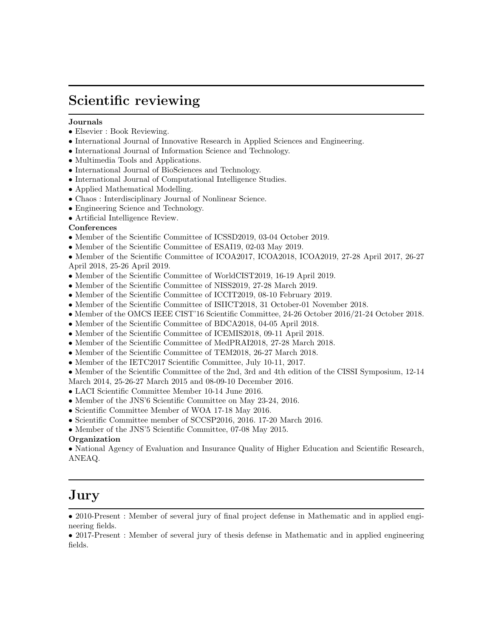## Scientific reviewing

#### Journals

- Elsevier : Book Reviewing.
- International Journal of Innovative Research in Applied Sciences and Engineering.
- International Journal of Information Science and Technology.
- Multimedia Tools and Applications.
- International Journal of BioSciences and Technology.
- International Journal of Computational Intelligence Studies.
- Applied Mathematical Modelling.
- Chaos : Interdisciplinary Journal of Nonlinear Science.
- Engineering Science and Technology.
- Artificial Intelligence Review.

#### Conferences

- Member of the Scientific Committee of ICSSD2019, 03-04 October 2019.
- Member of the Scientific Committee of ESAI19, 02-03 May 2019.
- Member of the Scientific Committee of ICOA2017, ICOA2018, ICOA2019, 27-28 April 2017, 26-27 April 2018, 25-26 April 2019.
- Member of the Scientific Committee of WorldCIST2019, 16-19 April 2019.
- Member of the Scientific Committee of NISS2019, 27-28 March 2019.
- Member of the Scientific Committee of ICCIT2019, 08-10 February 2019.
- Member of the Scientific Committee of ISIICT2018, 31 October-01 November 2018.
- Member of the OMCS IEEE CIST'16 Scientific Committee, 24-26 October 2016/21-24 October 2018.
- Member of the Scientific Committee of BDCA2018, 04-05 April 2018.
- Member of the Scientific Committee of ICEMIS2018, 09-11 April 2018.
- Member of the Scientific Committee of MedPRAI2018, 27-28 March 2018.
- Member of the Scientific Committee of TEM2018, 26-27 March 2018.
- Member of the IETC2017 Scientific Committee, July 10-11, 2017.

• Member of the Scientific Committee of the 2nd, 3rd and 4th edition of the CISSI Symposium, 12-14

- March 2014, 25-26-27 March 2015 and 08-09-10 December 2016.
- LACI Scientific Committee Member 10-14 June 2016.
- Member of the JNS'6 Scientific Committee on May 23-24, 2016.
- Scientific Committee Member of WOA 17-18 May 2016.
- Scientific Committee member of SCCSP2016, 2016. 17-20 March 2016.
- Member of the JNS'5 Scientific Committee, 07-08 May 2015.

#### Organization

• National Agency of Evaluation and Insurance Quality of Higher Education and Scientific Research, ANEAQ.

# $\rm{Jury}$

<sup>• 2010-</sup>Present : Member of several jury of final project defense in Mathematic and in applied engineering fields.

<sup>• 2017-</sup>Present : Member of several jury of thesis defense in Mathematic and in applied engineering fields.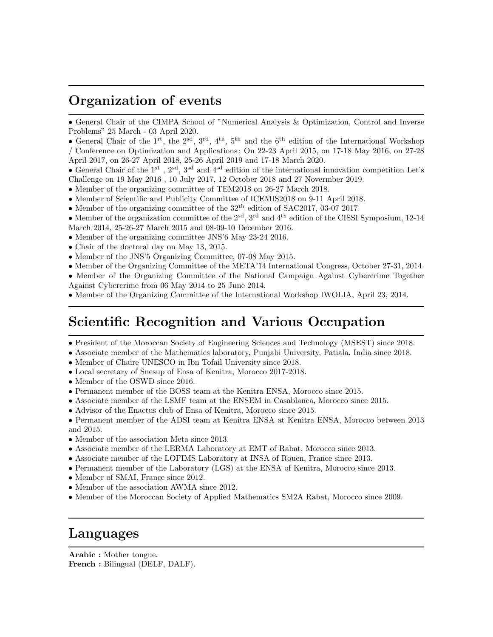## Organization of events

• General Chair of the CIMPA School of "Numerical Analysis & Optimization, Control and Inverse Problems" 25 March - 03 April 2020.

• General Chair of the 1<sup>rt</sup>, the 2<sup>sd</sup>, 3<sup>rd</sup>, 4<sup>th</sup>, 5<sup>th</sup> and the 6<sup>th</sup> edition of the International Workshop / Conference on Optimization and Applications ; On 22-23 April 2015, on 17-18 May 2016, on 27-28 April 2017, on 26-27 April 2018, 25-26 April 2019 and 17-18 March 2020.

• General Chair of the 1st , 2sd, 3sd and 4sd edition of the international innovation competition Let's Challenge on 19 May 2016 , 10 July 2017, 12 October 2018 and 27 Novermber 2019.

- Member of the organizing committee of TEM2018 on 26-27 March 2018.
- Member of Scientific and Publicity Committee of ICEMIS2018 on 9-11 April 2018.
- $\bullet$  Member of the organizing committee of the  $32^{\rm th}$  edition of SAC2017, 03-07 2017.
- Member of the organization committee of the  $2<sup>sd</sup>$ ,  $3<sup>rd</sup>$  and  $4<sup>th</sup>$  edition of the CISSI Symposium, 12-14 March 2014, 25-26-27 March 2015 and 08-09-10 December 2016.
- Member of the organizing committee JNS'6 May 23-24 2016.
- Chair of the doctoral day on May 13, 2015.
- Member of the JNS'5 Organizing Committee, 07-08 May 2015.
- Member of the Organizing Committee of the META'14 International Congress, October 27-31, 2014.

• Member of the Organizing Committee of the National Campaign Against Cybercrime Together Against Cybercrime from 06 May 2014 to 25 June 2014.

• Member of the Organizing Committee of the International Workshop IWOLIA, April 23, 2014.

## Scientific Recognition and Various Occupation

- President of the Moroccan Society of Engineering Sciences and Technology (MSEST) since 2018.
- Associate member of the Mathematics laboratory, Punjabi University, Patiala, India since 2018.
- Member of Chaire UNESCO in Ibn Tofail University since 2018.
- Local secretary of Snesup of Ensa of Kenitra, Morocco 2017-2018.
- Member of the OSWD since 2016.
- Permanent member of the BOSS team at the Kenitra ENSA, Morocco since 2015.
- Associate member of the LSMF team at the ENSEM in Casablanca, Morocco since 2015.
- Advisor of the Enactus club of Ensa of Kenitra, Morocco since 2015.

• Permanent member of the ADSI team at Kenitra ENSA at Kenitra ENSA, Morocco between 2013 and 2015.

- Member of the association Meta since 2013.
- Associate member of the LERMA Laboratory at EMT of Rabat, Morocco since 2013.
- Associate member of the LOFIMS Laboratory at INSA of Rouen, France since 2013.
- Permanent member of the Laboratory (LGS) at the ENSA of Kenitra, Morocco since 2013.
- Member of SMAI, France since 2012.
- Member of the association AWMA since 2012.
- Member of the Moroccan Society of Applied Mathematics SM2A Rabat, Morocco since 2009.

# Languages

Arabic : Mother tongue. French : Bilingual (DELF, DALF).